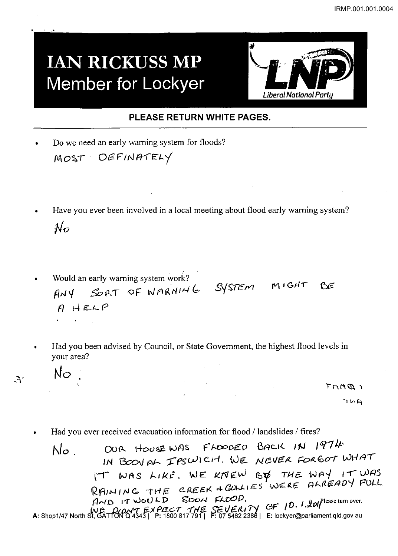## **IAN RICKUSS MP** Member for Lockyer



## PLEASE RETURN WHITE PAGES.

Do we need an early warning system for floods? MOST DEFINATELY

 $No$ .

 $A^r$ 

- Have you ever been involved in a local meeting about flood early warning system?  $\mathcal{N}_{\mathcal{O}}$
- Would an early warning system work? ANY SORT OF WARNING SYSTEM MIGHT BE  $AHELP$  $\sim 10^{-10}$
- Had you been advised by Council, or State Government, the highest flood levels in your area?

 $T$ MM $Q$ 

 $7M1$ 

Had you ever received evacuation information for flood / landslides / fires?

FLOODED BACK IN 1974 OUR HOUSE WAS  $No$ . IN BOOV AL IPSWICH. WE NEVER FORGOT WHAT IT WAS LIKE, WE KNEW BY THE WAY IT WAS RAINING THE CREEK + GULLIES WERE ALREADY FULL  $HAD$  IT WOULD SOON FLOUP.<br>WE DIDN'T EXPECT THE SEVERITY OF 10. 1.2017 Please turn over.<br>A: Shop1/47 North St, GATTON Q 4343 | P: 1800 817 791 | F: 07 5462 2388 | E: lockyer@parliament.qld.gov.au